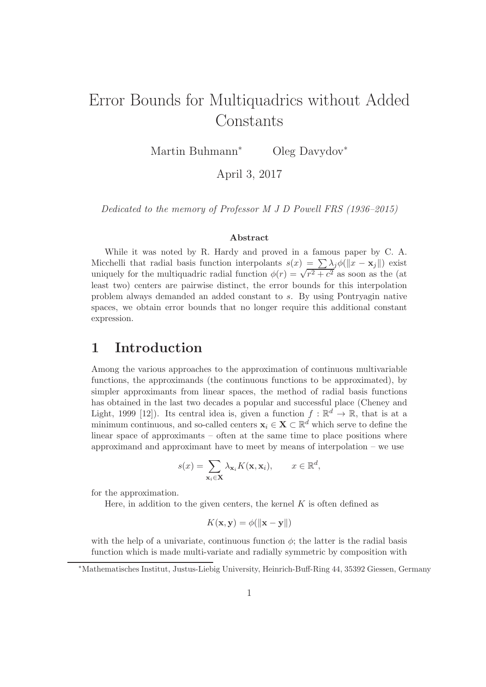# Error Bounds for Multiquadrics without Added Constants

Martin Buhmann<sup>∗</sup> Oleg Davydov<sup>∗</sup>

April 3, 2017

Dedicated to the memory of Professor M J D Powell FRS (1936–2015)

#### Abstract

While it was noted by R. Hardy and proved in a famous paper by C. A. Micchelli that radial basis function interpolants  $s(x) = \sum \lambda_i \phi(||x - x_i||)$  exist uniquely for the multiquadric radial function  $\phi(r) = \sqrt{r^2 + c^2}$  as soon as the (at least two) centers are pairwise distinct, the error bounds for this interpolation problem always demanded an added constant to s. By using Pontryagin native spaces, we obtain error bounds that no longer require this additional constant expression.

## 1 Introduction

Among the various approaches to the approximation of continuous multivariable functions, the approximands (the continuous functions to be approximated), by simpler approximants from linear spaces, the method of radial basis functions has obtained in the last two decades a popular and successful place (Cheney and Light, 1999 [12]). Its central idea is, given a function  $f : \mathbb{R}^d \to \mathbb{R}$ , that is at a minimum continuous, and so-called centers  $x_i \in X \subset \mathbb{R}^d$  which serve to define the linear space of approximants – often at the same time to place positions where approximand and approximant have to meet by means of interpolation – we use

$$
s(x) = \sum_{\mathbf{x}_i \in \mathbf{X}} \lambda_{\mathbf{x}_i} K(\mathbf{x}, \mathbf{x}_i), \qquad x \in \mathbb{R}^d,
$$

for the approximation.

Here, in addition to the given centers, the kernel  $K$  is often defined as

$$
K(\mathbf{x}, \mathbf{y}) = \phi(\|\mathbf{x} - \mathbf{y}\|)
$$

with the help of a univariate, continuous function  $\phi$ ; the latter is the radial basis function which is made multi-variate and radially symmetric by composition with

<sup>∗</sup>Mathematisches Institut, Justus-Liebig University, Heinrich-Buff-Ring 44, 35392 Giessen, Germany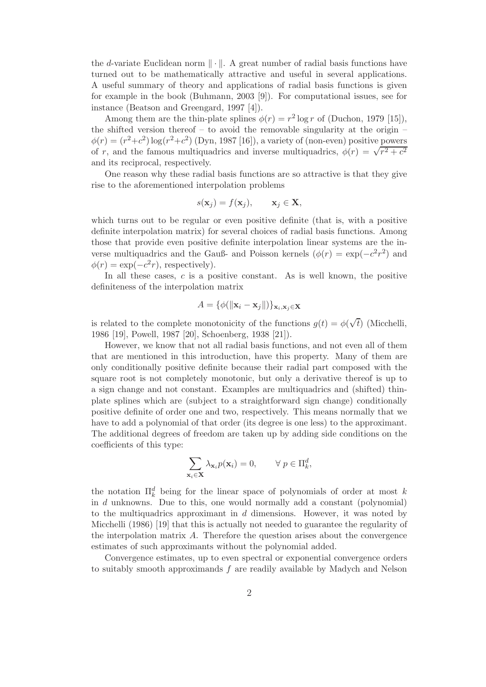the d-variate Euclidean norm  $\|\cdot\|$ . A great number of radial basis functions have turned out to be mathematically attractive and useful in several applications. A useful summary of theory and applications of radial basis functions is given for example in the book (Buhmann, 2003 [9]). For computational issues, see for instance (Beatson and Greengard, 1997 [4]).

Among them are the thin-plate splines  $\phi(r) = r^2 \log r$  of (Duchon, 1979 [15]), the shifted version thereof – to avoid the removable singularity at the origin –  $\phi(r) = (r^2+c^2)\log(r^2+c^2)$  (Dyn, 1987 [16]), a variety of (non-even) positive powers of r, and the famous multiquadrics and inverse multiquadrics,  $\phi(r) = \sqrt{r^2 + c^2}$ and its reciprocal, respectively.

One reason why these radial basis functions are so attractive is that they give rise to the aforementioned interpolation problems

$$
s(\mathbf{x}_j) = f(\mathbf{x}_j), \qquad \mathbf{x}_j \in \mathbf{X},
$$

which turns out to be regular or even positive definite (that is, with a positive definite interpolation matrix) for several choices of radial basis functions. Among those that provide even positive definite interpolation linear systems are the inverse multiquadrics and the Gauß- and Poisson kernels  $(\phi(r) = \exp(-c^2r^2))$  and  $\phi(r) = \exp(-c^2r)$ , respectively).

In all these cases,  $c$  is a positive constant. As is well known, the positive definiteness of the interpolation matrix

$$
A = \{\phi(||\mathbf{x}_i - \mathbf{x}_j||)\}_{\mathbf{x}_i, \mathbf{x}_j \in \mathbf{X}}
$$

is related to the complete monotonicity of the functions  $g(t) = \phi(\sqrt{t})$  (Micchelli, 1986 [19], Powell, 1987 [20], Schoenberg, 1938 [21]).

However, we know that not all radial basis functions, and not even all of them that are mentioned in this introduction, have this property. Many of them are only conditionally positive definite because their radial part composed with the square root is not completely monotonic, but only a derivative thereof is up to a sign change and not constant. Examples are multiquadrics and (shifted) thinplate splines which are (subject to a straightforward sign change) conditionally positive definite of order one and two, respectively. This means normally that we have to add a polynomial of that order (its degree is one less) to the approximant. The additional degrees of freedom are taken up by adding side conditions on the coefficients of this type:

$$
\sum_{\mathbf{x}_i \in \mathbf{X}} \lambda_{\mathbf{x}_i} p(\mathbf{x}_i) = 0, \qquad \forall \ p \in \Pi_k^d,
$$

the notation  $\prod_k^d$  being for the linear space of polynomials of order at most k in d unknowns. Due to this, one would normally add a constant (polynomial) to the multiquadrics approximant in  $d$  dimensions. However, it was noted by Micchelli (1986) [19] that this is actually not needed to guarantee the regularity of the interpolation matrix A. Therefore the question arises about the convergence estimates of such approximants without the polynomial added.

Convergence estimates, up to even spectral or exponential convergence orders to suitably smooth approximands f are readily available by Madych and Nelson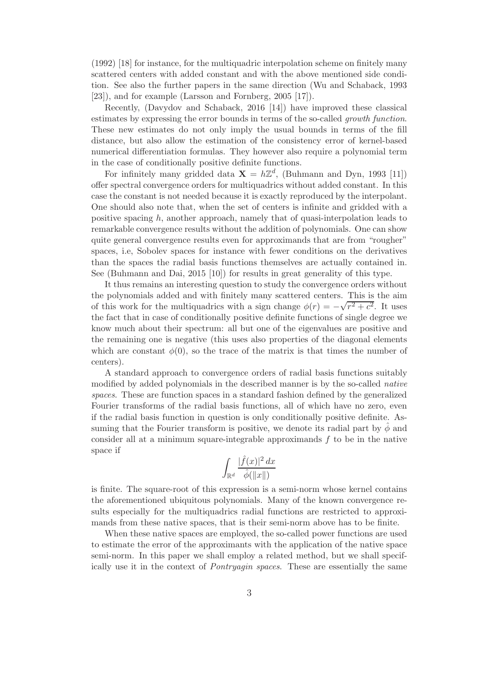(1992) [18] for instance, for the multiquadric interpolation scheme on finitely many scattered centers with added constant and with the above mentioned side condition. See also the further papers in the same direction (Wu and Schaback, 1993 [23]), and for example (Larsson and Fornberg, 2005 [17]).

Recently, (Davydov and Schaback, 2016 [14]) have improved these classical estimates by expressing the error bounds in terms of the so-called growth function. These new estimates do not only imply the usual bounds in terms of the fill distance, but also allow the estimation of the consistency error of kernel-based numerical differentiation formulas. They however also require a polynomial term in the case of conditionally positive definite functions.

For infinitely many gridded data  $\mathbf{X} = h\mathbb{Z}^d$ , (Buhmann and Dyn, 1993 [11]) offer spectral convergence orders for multiquadrics without added constant. In this case the constant is not needed because it is exactly reproduced by the interpolant. One should also note that, when the set of centers is infinite and gridded with a positive spacing h, another approach, namely that of quasi-interpolation leads to remarkable convergence results without the addition of polynomials. One can show quite general convergence results even for approximands that are from "rougher" spaces, i.e, Sobolev spaces for instance with fewer conditions on the derivatives than the spaces the radial basis functions themselves are actually contained in. See (Buhmann and Dai, 2015 [10]) for results in great generality of this type.

It thus remains an interesting question to study the convergence orders without the polynomials added and with finitely many scattered centers. This is the aim of this work for the multiquadrics with a sign change  $\phi(r) = -\sqrt{r^2 + c^2}$ . It uses the fact that in case of conditionally positive definite functions of single degree we know much about their spectrum: all but one of the eigenvalues are positive and the remaining one is negative (this uses also properties of the diagonal elements which are constant  $\phi(0)$ , so the trace of the matrix is that times the number of centers).

A standard approach to convergence orders of radial basis functions suitably modified by added polynomials in the described manner is by the so-called native spaces. These are function spaces in a standard fashion defined by the generalized Fourier transforms of the radial basis functions, all of which have no zero, even if the radial basis function in question is only conditionally positive definite. Assuming that the Fourier transform is positive, we denote its radial part by  $\phi$  and consider all at a minimum square-integrable approximands  $f$  to be in the native space if

$$
\int_{\mathbb{R}^d} \frac{|\hat{f}(x)|^2 dx}{\hat{\phi}(\|x\|)}
$$

is finite. The square-root of this expression is a semi-norm whose kernel contains the aforementioned ubiquitous polynomials. Many of the known convergence results especially for the multiquadrics radial functions are restricted to approximands from these native spaces, that is their semi-norm above has to be finite.

When these native spaces are employed, the so-called power functions are used to estimate the error of the approximants with the application of the native space semi-norm. In this paper we shall employ a related method, but we shall specifically use it in the context of Pontryagin spaces. These are essentially the same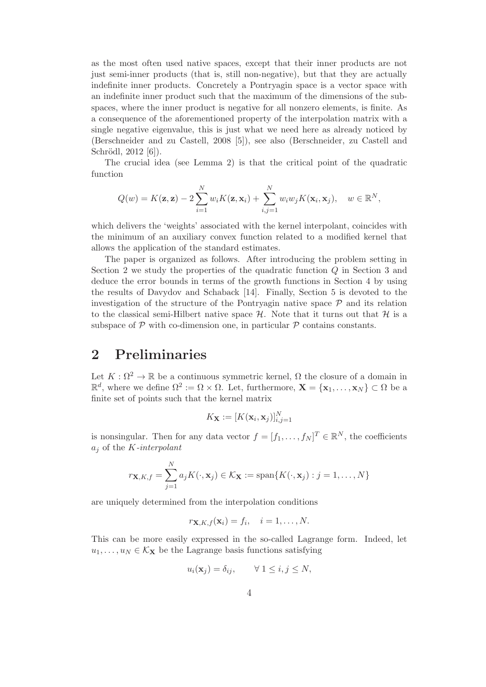as the most often used native spaces, except that their inner products are not just semi-inner products (that is, still non-negative), but that they are actually indefinite inner products. Concretely a Pontryagin space is a vector space with an indefinite inner product such that the maximum of the dimensions of the subspaces, where the inner product is negative for all nonzero elements, is finite. As a consequence of the aforementioned property of the interpolation matrix with a single negative eigenvalue, this is just what we need here as already noticed by (Berschneider and zu Castell, 2008 [5]), see also (Berschneider, zu Castell and Schrödl,  $2012 [6]$ .

The crucial idea (see Lemma 2) is that the critical point of the quadratic function

$$
Q(w) = K(\mathbf{z}, \mathbf{z}) - 2\sum_{i=1}^{N} w_i K(\mathbf{z}, \mathbf{x}_i) + \sum_{i,j=1}^{N} w_i w_j K(\mathbf{x}_i, \mathbf{x}_j), \quad w \in \mathbb{R}^{N},
$$

which delivers the 'weights' associated with the kernel interpolant, coincides with the minimum of an auxiliary convex function related to a modified kernel that allows the application of the standard estimates.

The paper is organized as follows. After introducing the problem setting in Section 2 we study the properties of the quadratic function Q in Section 3 and deduce the error bounds in terms of the growth functions in Section 4 by using the results of Davydov and Schaback [14]. Finally, Section 5 is devoted to the investigation of the structure of the Pontryagin native space  $P$  and its relation to the classical semi-Hilbert native space  $\mathcal{H}$ . Note that it turns out that  $\mathcal{H}$  is a subspace of  $P$  with co-dimension one, in particular  $P$  contains constants.

## 2 Preliminaries

Let  $K : \Omega^2 \to \mathbb{R}$  be a continuous symmetric kernel,  $\Omega$  the closure of a domain in  $\mathbb{R}^d$ , where we define  $\Omega^2 := \Omega \times \Omega$ . Let, furthermore,  $\mathbf{X} = {\mathbf{x}_1, \dots, \mathbf{x}_N} \subset \Omega$  be a finite set of points such that the kernel matrix

$$
K_{\mathbf{X}} := [K(\mathbf{x}_i, \mathbf{x}_j)]_{i,j=1}^N
$$

is nonsingular. Then for any data vector  $f = [f_1, \ldots, f_N]^T \in \mathbb{R}^N$ , the coefficients  $a_i$  of the K-interpolant

$$
r_{\mathbf{X},K,f} = \sum_{j=1}^{N} a_j K(\cdot, \mathbf{x}_j) \in \mathcal{K}_{\mathbf{X}} := \text{span}\{K(\cdot, \mathbf{x}_j) : j = 1, \dots, N\}
$$

are uniquely determined from the interpolation conditions

$$
r_{\mathbf{X},K,f}(\mathbf{x}_i) = f_i, \quad i = 1,\ldots,N.
$$

This can be more easily expressed in the so-called Lagrange form. Indeed, let  $u_1, \ldots, u_N \in \mathcal{K}_{\mathbf{X}}$  be the Lagrange basis functions satisfying

$$
u_i(\mathbf{x}_j) = \delta_{ij}, \qquad \forall \ 1 \leq i, j \leq N,
$$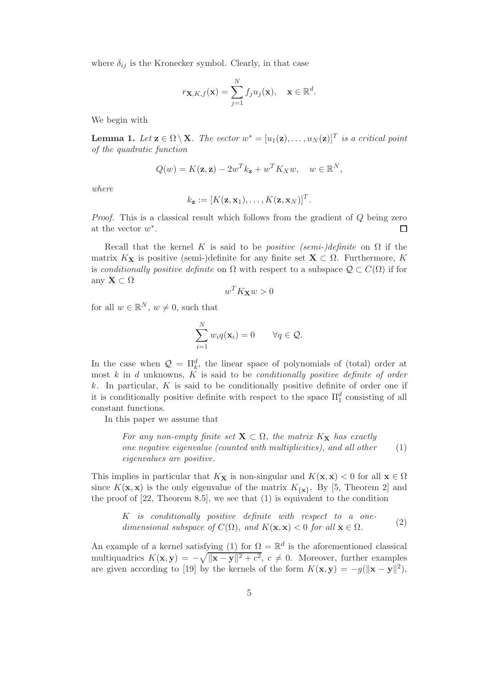where  $\delta_{ij}$  is the Kronecker symbol. Clearly, in that case

$$
r_{\mathbf{X},K,f}(\mathbf{x}) = \sum_{j=1}^{N} f_j u_j(\mathbf{x}), \quad \mathbf{x} \in \mathbb{R}^d.
$$

We begin with

**Lemma 1.** Let  $\mathbf{z} \in \Omega \setminus \mathbf{X}$ . The vector  $w^* = [u_1(\mathbf{z}), \ldots, u_N(\mathbf{z})]^T$  is a critical point of the quadratic function

$$
Q(w) = K(\mathbf{z}, \mathbf{z}) - 2w^T k_{\mathbf{z}} + w^T K_X w, \quad w \in \mathbb{R}^N,
$$

where

$$
k_{\mathbf{z}} := [K(\mathbf{z}, \mathbf{x}_1), \dots, K(\mathbf{z}, \mathbf{x}_N)]^T.
$$

Proof. This is a classical result which follows from the gradient of Q being zero at the vector  $w^*$ .  $\Box$ 

Recall that the kernel K is said to be *positive (semi-)definite* on  $\Omega$  if the matrix  $K_{\mathbf{X}}$  is positive (semi-)definite for any finite set  $\mathbf{X} \subset \Omega$ . Furthermore, K is conditionally positive definite on  $\Omega$  with respect to a subspace  $\mathcal{Q} \subset C(\Omega)$  if for any  $\mathbf{X} \subset \Omega$ 

$$
w^T K_{\mathbf{X}} w > 0
$$

for all  $w \in \mathbb{R}^N$ ,  $w \neq 0$ , such that

$$
\sum_{i=1}^{N} w_i q(\mathbf{x}_i) = 0 \qquad \forall q \in \mathcal{Q}.
$$

In the case when  $\mathcal{Q} = \Pi_k^d$ , the linear space of polynomials of (total) order at most  $k$  in  $d$  unknowns,  $K$  is said to be *conditionally positive definite of order*  $k$ . In particular,  $K$  is said to be conditionally positive definite of order one if it is conditionally positive definite with respect to the space  $\Pi_1^d$  consisting of all constant functions.

In this paper we assume that

For any non-empty finite set  $X \subset \Omega$ , the matrix  $K_X$  has exactly one negative eigenvalue (counted with multiplicities), and all other eigenvalues are positive. (1)

This implies in particular that  $K_{\mathbf{X}}$  is non-singular and  $K(\mathbf{x}, \mathbf{x}) < 0$  for all  $\mathbf{x} \in \Omega$ since  $K(\mathbf{x}, \mathbf{x})$  is the only eigenvalue of the matrix  $K_{\{\mathbf{x}\}}$ . By [5, Theorem 2] and the proof of [22, Theorem 8.5], we see that (1) is equivalent to the condition

K is conditionally positive definite with respect to a onedimensional subspace of  $C(\Omega)$ , and  $K(\mathbf{x}, \mathbf{x}) < 0$  for all  $\mathbf{x} \in \Omega$ . (2)

An example of a kernel satisfying (1) for  $\Omega = \mathbb{R}^d$  is the aforementioned classical multiquadrics  $K(\mathbf{x}, \mathbf{y}) = -\sqrt{\|\mathbf{x} - \mathbf{y}\|^2 + c^2}, c \neq 0$ . Moreover, further examples are given according to [19] by the kernels of the form  $K(\mathbf{x}, \mathbf{y}) = -g(||\mathbf{x} - \mathbf{y}||^2)$ ,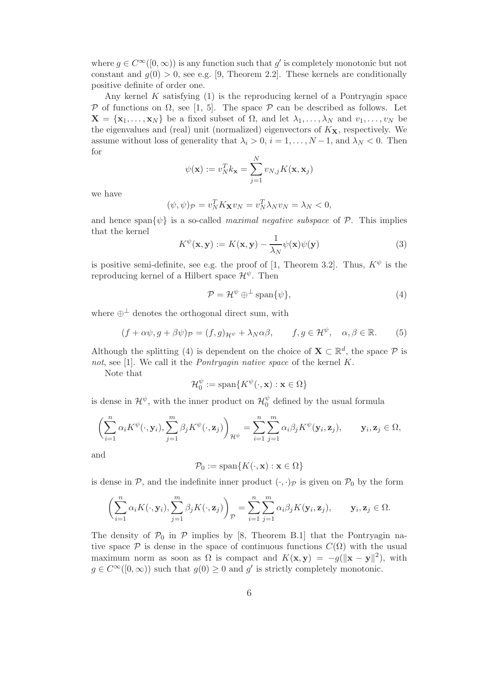where  $g \in C^{\infty}([0,\infty))$  is any function such that  $g'$  is completely monotonic but not constant and  $g(0) > 0$ , see e.g. [9, Theorem 2.2]. These kernels are conditionally positive definite of order one.

Any kernel  $K$  satisfying  $(1)$  is the reproducing kernel of a Pontryagin space P of functions on  $\Omega$ , see [1, 5]. The space P can be described as follows. Let  $\mathbf{X} = {\mathbf{x}_1, \dots, \mathbf{x}_N}$  be a fixed subset of  $\Omega$ , and let  $\lambda_1, \dots, \lambda_N$  and  $v_1, \dots, v_N$  be the eigenvalues and (real) unit (normalized) eigenvectors of  $K_{\mathbf{X}}$ , respectively. We assume without loss of generality that  $\lambda_i > 0$ ,  $i = 1, \ldots, N-1$ , and  $\lambda_N < 0$ . Then for

$$
\psi(\mathbf{x}) := v_N^T k_\mathbf{x} = \sum_{j=1}^N v_{N,j} K(\mathbf{x}, \mathbf{x}_j)
$$

we have

$$
(\psi, \psi)_{\mathcal{P}} = v_N^T K_{\mathbf{X}} v_N = v_N^T \lambda_N v_N = \lambda_N < 0,
$$

and hence span $\{\psi\}$  is a so-called *maximal negative subspace* of  $\mathcal{P}$ . This implies that the kernel

$$
K^{\psi}(\mathbf{x}, \mathbf{y}) := K(\mathbf{x}, \mathbf{y}) - \frac{1}{\lambda_N} \psi(\mathbf{x}) \psi(\mathbf{y})
$$
\n(3)

is positive semi-definite, see e.g. the proof of [1, Theorem 3.2]. Thus,  $K^{\psi}$  is the reproducing kernel of a Hilbert space  $\mathcal{H}^{\psi}$ . Then

$$
\mathcal{P} = \mathcal{H}^{\psi} \oplus^{\perp} \text{span}\{\psi\},\tag{4}
$$

where  $\bigoplus$ <sup>⊥</sup> denotes the orthogonal direct sum, with

$$
(f + \alpha \psi, g + \beta \psi)_{\mathcal{P}} = (f, g)_{\mathcal{H}^{\psi}} + \lambda_N \alpha \beta, \qquad f, g \in \mathcal{H}^{\psi}, \quad \alpha, \beta \in \mathbb{R}.
$$
 (5)

Although the splitting (4) is dependent on the choice of  $\mathbf{X} \subset \mathbb{R}^d$ , the space  $\mathcal{P}$  is not, see [1]. We call it the *Pontryagin native space* of the kernel K.

Note that

$$
\mathcal{H}_0^{\psi} := \text{span}\{K^{\psi}(\cdot, \mathbf{x}) : \mathbf{x} \in \Omega\}
$$

is dense in  $\mathcal{H}^{\psi}$ , with the inner product on  $\mathcal{H}_0^{\psi}$  $_{0}^{\psi}$  defined by the usual formula

$$
\left(\sum_{i=1}^n \alpha_i K^{\psi}(\cdot, \mathbf{y}_i), \sum_{j=1}^m \beta_j K^{\psi}(\cdot, \mathbf{z}_j)\right)_{\mathcal{H}^{\psi}} = \sum_{i=1}^n \sum_{j=1}^m \alpha_i \beta_j K^{\psi}(\mathbf{y}_i, \mathbf{z}_j), \qquad \mathbf{y}_i, \mathbf{z}_j \in \Omega,
$$

and

$$
\mathcal{P}_0 := \text{span}\{K(\cdot, \mathbf{x}) : \mathbf{x} \in \Omega\}
$$

is dense in P, and the indefinite inner product  $(\cdot, \cdot)$  is given on  $\mathcal{P}_0$  by the form

$$
\left(\sum_{i=1}^n \alpha_i K(\cdot, \mathbf{y}_i), \sum_{j=1}^m \beta_j K(\cdot, \mathbf{z}_j)\right)_{\mathcal{P}} = \sum_{i=1}^n \sum_{j=1}^m \alpha_i \beta_j K(\mathbf{y}_i, \mathbf{z}_j), \qquad \mathbf{y}_i, \mathbf{z}_j \in \Omega.
$$

The density of  $P_0$  in  $P$  implies by [8, Theorem B.1] that the Pontryagin native space  $\mathcal P$  is dense in the space of continuous functions  $C(\Omega)$  with the usual maximum norm as soon as  $\Omega$  is compact and  $K(\mathbf{x}, \mathbf{y}) = -g(||\mathbf{x} - \mathbf{y}||^2)$ , with  $g \in C^{\infty}([0,\infty))$  such that  $g(0) \geq 0$  and  $g'$  is strictly completely monotonic.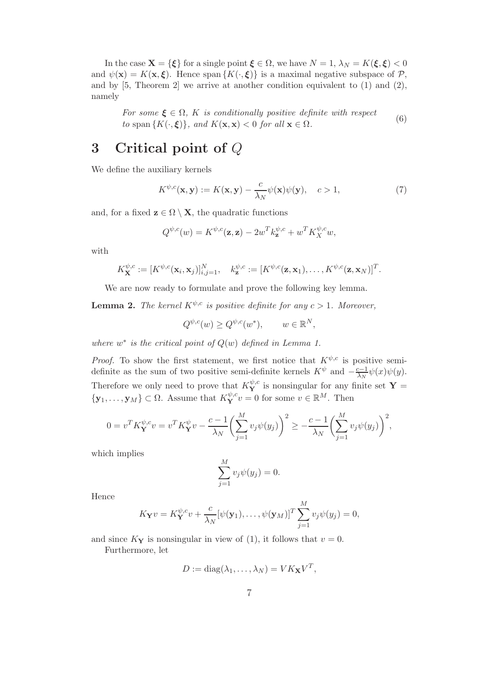In the case  $\mathbf{X} = \{\boldsymbol{\xi}\}\$ for a single point  $\boldsymbol{\xi} \in \Omega$ , we have  $N = 1$ ,  $\lambda_N = K(\boldsymbol{\xi}, \boldsymbol{\xi}) < 0$ and  $\psi(\mathbf{x}) = K(\mathbf{x}, \boldsymbol{\xi})$ . Hence span  $\{K(\cdot, \boldsymbol{\xi})\}$  is a maximal negative subspace of  $\mathcal{P}$ , and by  $[5,$  Theorem 2 we arrive at another condition equivalent to  $(1)$  and  $(2)$ , namely

For some  $\xi \in \Omega$ , K is conditionally positive definite with respect to span  $\{K(\cdot,\xi)\}\$ , and  $K(\mathbf{x},\mathbf{x}) < 0$  for all  $\mathbf{x} \in \Omega$ . (6)

## 3 Critical point of Q

We define the auxiliary kernels

$$
K^{\psi,c}(\mathbf{x}, \mathbf{y}) := K(\mathbf{x}, \mathbf{y}) - \frac{c}{\lambda_N} \psi(\mathbf{x}) \psi(\mathbf{y}), \quad c > 1,
$$
 (7)

and, for a fixed  $z \in \Omega \setminus X$ , the quadratic functions

$$
Q^{\psi,c}(w) = K^{\psi,c}(\mathbf{z}, \mathbf{z}) - 2w^T k_{\mathbf{z}}^{\psi,c} + w^T K_X^{\psi,c} w,
$$

with

$$
K_{\mathbf{X}}^{\psi,c} := [K^{\psi,c}(\mathbf{x}_i,\mathbf{x}_j)]_{i,j=1}^N, \quad k_{\mathbf{z}}^{\psi,c} := [K^{\psi,c}(\mathbf{z},\mathbf{x}_1),\ldots,K^{\psi,c}(\mathbf{z},\mathbf{x}_N)]^T.
$$

We are now ready to formulate and prove the following key lemma.

**Lemma 2.** The kernel  $K^{\psi,c}$  is positive definite for any  $c > 1$ . Moreover,

$$
Q^{\psi,c}(w) \ge Q^{\psi,c}(w^*), \qquad w \in \mathbb{R}^N,
$$

where  $w^*$  is the critical point of  $Q(w)$  defined in Lemma 1.

*Proof.* To show the first statement, we first notice that  $K^{\psi,c}$  is positive semidefinite as the sum of two positive semi-definite kernels  $K^{\psi}$  and  $-\frac{c-1}{\lambda_N}$  $\frac{z-1}{\lambda_N}\psi(x)\psi(y).$ Therefore we only need to prove that  $K^{\psi,c}_{\mathbf{Y}}$  is nonsingular for any finite set  $\mathbf{Y} =$  $\{y_1, \ldots, y_M\} \subset \Omega$ . Assume that  $K_Y^{\psi,c} v = 0$  for some  $v \in \mathbb{R}^M$ . Then

$$
0=v^TK_{\mathbf{Y}}^{\psi,c}v=v^TK_{\mathbf{Y}}^{\psi}v-\frac{c-1}{\lambda_N}\biggl(\sum_{j=1}^Mv_j\psi(y_j)\biggr)^2\geq-\frac{c-1}{\lambda_N}\biggl(\sum_{j=1}^Mv_j\psi(y_j)\biggr)^2,
$$

which implies

$$
\sum_{j=1}^{M} v_j \psi(y_j) = 0.
$$

Hence

$$
K_{\mathbf{Y}}v = K_{\mathbf{Y}}^{\psi,c}v + \frac{c}{\lambda_N}[\psi(\mathbf{y}_1),\ldots,\psi(\mathbf{y}_M)]^T \sum_{j=1}^M v_j \psi(y_j) = 0,
$$

and since  $K_Y$  is nonsingular in view of (1), it follows that  $v = 0$ .

Furthermore, let

$$
D := \mathrm{diag}(\lambda_1, \dots, \lambda_N) = V K_{\mathbf{X}} V^T,
$$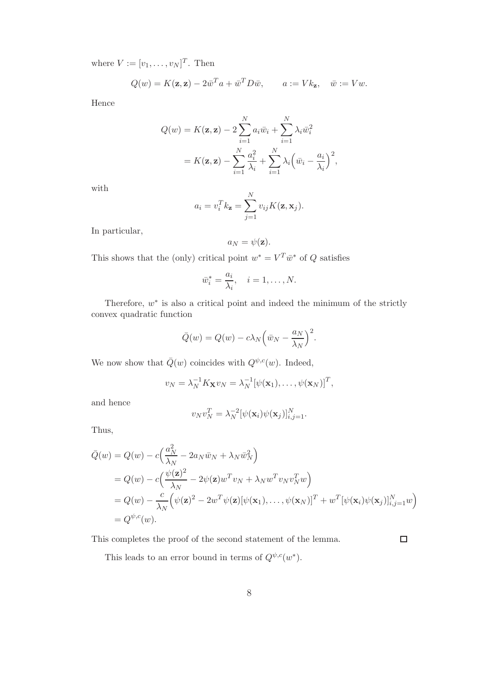where  $V := [v_1, \ldots, v_N]^T$ . Then

$$
Q(w) = K(\mathbf{z}, \mathbf{z}) - 2\overline{w}^T a + \overline{w}^T D \overline{w}, \qquad a := V k_{\mathbf{z}}, \quad \overline{w} := V w.
$$

Hence

$$
Q(w) = K(\mathbf{z}, \mathbf{z}) - 2 \sum_{i=1}^{N} a_i \bar{w}_i + \sum_{i=1}^{N} \lambda_i \bar{w}_i^2
$$
  
=  $K(\mathbf{z}, \mathbf{z}) - \sum_{i=1}^{N} \frac{a_i^2}{\lambda_i} + \sum_{i=1}^{N} \lambda_i (\bar{w}_i - \frac{a_i}{\lambda_i})^2$ ,

with

$$
a_i = v_i^T k_{\mathbf{z}} = \sum_{j=1}^N v_{ij} K(\mathbf{z}, \mathbf{x}_j).
$$

In particular,

$$
a_N = \psi(\mathbf{z}).
$$

This shows that the (only) critical point  $w^* = V^T \bar{w}^*$  of Q satisfies

$$
\bar{w}_i^* = \frac{a_i}{\lambda_i}, \quad i = 1, \dots, N.
$$

Therefore,  $w^*$  is also a critical point and indeed the minimum of the strictly convex quadratic function

$$
\overline{Q}(w) = Q(w) - c\lambda_N \left(\overline{w}_N - \frac{a_N}{\lambda_N}\right)^2.
$$

We now show that  $\overline{Q}(w)$  coincides with  $Q^{\psi,c}(w)$ . Indeed,

$$
v_N = \lambda_N^{-1} K_{\mathbf{X}} v_N = \lambda_N^{-1} [\psi(\mathbf{x}_1), \dots, \psi(\mathbf{x}_N)]^T,
$$

and hence

$$
v_N v_N^T = \lambda_N^{-2} [\psi(\mathbf{x}_i) \psi(\mathbf{x}_j)]_{i,j=1}^N.
$$

Thus,

$$
\begin{split}\n\bar{Q}(w) &= Q(w) - c \Big( \frac{a_N^2}{\lambda_N} - 2a_N \bar{w}_N + \lambda_N \bar{w}_N^2 \Big) \\
&= Q(w) - c \Big( \frac{\psi(\mathbf{z})^2}{\lambda_N} - 2\psi(\mathbf{z})w^T v_N + \lambda_N w^T v_N v_N^T w \Big) \\
&= Q(w) - \frac{c}{\lambda_N} \Big( \psi(\mathbf{z})^2 - 2w^T \psi(\mathbf{z}) [\psi(\mathbf{x}_1), \dots, \psi(\mathbf{x}_N)]^T + w^T [\psi(\mathbf{x}_i) \psi(\mathbf{x}_j)]_{i,j=1}^N w \Big) \\
&= Q^{\psi, c}(w).\n\end{split}
$$

This completes the proof of the second statement of the lemma.

 $\Box$ 

This leads to an error bound in terms of  $Q^{\psi,c}(w^*)$ .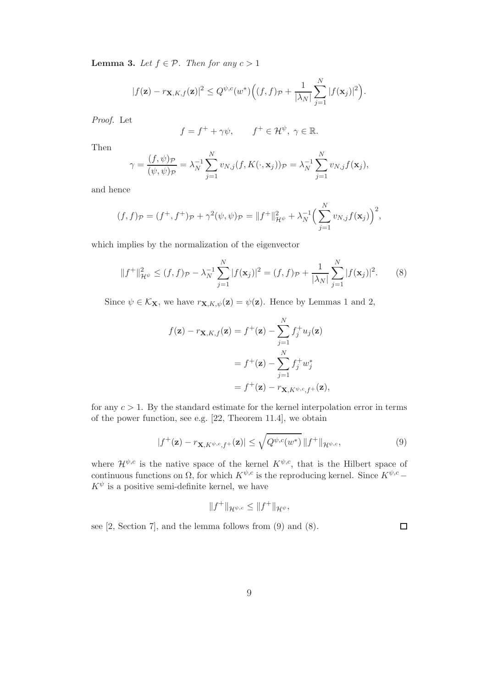**Lemma 3.** Let  $f \in \mathcal{P}$ . Then for any  $c > 1$ 

$$
|f(\mathbf{z}) - r_{\mathbf{X},K,f}(\mathbf{z})|^2 \leq Q^{\psi,c}(w^*) \Big( (f,f)_{\mathcal{P}} + \frac{1}{|\lambda_N|} \sum_{j=1}^N |f(\mathbf{x}_j)|^2 \Big).
$$

Proof. Let

$$
f = f^+ + \gamma \psi
$$
,  $f^+ \in \mathcal{H}^{\psi}$ ,  $\gamma \in \mathbb{R}$ .

Then

$$
\gamma = \frac{(f, \psi)_{\mathcal{P}}}{(\psi, \psi)_{\mathcal{P}}} = \lambda_N^{-1} \sum_{j=1}^N v_{N,j}(f, K(\cdot, \mathbf{x}_j))_{\mathcal{P}} = \lambda_N^{-1} \sum_{j=1}^N v_{N,j} f(\mathbf{x}_j),
$$

and hence

$$
(f, f)\mathbf{p} = (f^+, f^+) \mathbf{p} + \gamma^2 (\psi, \psi) \mathbf{p} = ||f^+||^2_{\mathcal{H}^{\psi}} + \lambda_N^{-1} \Big( \sum_{j=1}^N v_{N,j} f(\mathbf{x}_j) \Big)^2,
$$

which implies by the normalization of the eigenvector

$$
||f^+||_{\mathcal{H}^{\psi}}^2 \le (f, f)\mathcal{P} - \lambda_N^{-1} \sum_{j=1}^N |f(\mathbf{x}_j)|^2 = (f, f)\mathcal{P} + \frac{1}{|\lambda_N|} \sum_{j=1}^N |f(\mathbf{x}_j)|^2. \tag{8}
$$

Since  $\psi \in \mathcal{K}_{\mathbf{X}}$ , we have  $r_{\mathbf{X},K,\psi}(\mathbf{z}) = \psi(\mathbf{z})$ . Hence by Lemmas 1 and 2,

$$
f(\mathbf{z}) - r_{\mathbf{X},K,f}(\mathbf{z}) = f^{+}(\mathbf{z}) - \sum_{j=1}^{N} f_{j}^{+} u_{j}(\mathbf{z})
$$
  
=  $f^{+}(\mathbf{z}) - \sum_{j=1}^{N} f_{j}^{+} w_{j}^{*}$   
=  $f^{+}(\mathbf{z}) - r_{\mathbf{X},K}\psi, c, f^{+}(\mathbf{z}),$ 

for any  $c > 1$ . By the standard estimate for the kernel interpolation error in terms of the power function, see e.g. [22, Theorem 11.4], we obtain

$$
|f^+(\mathbf{z}) - r_{\mathbf{X}, K^{\psi,c}, f^+}(\mathbf{z})| \le \sqrt{Q^{\psi,c}(w^*)} \|f^+\|_{\mathcal{H}^{\psi,c}},\tag{9}
$$

where  $\mathcal{H}^{\psi,c}$  is the native space of the kernel  $K^{\psi,c}$ , that is the Hilbert space of continuous functions on  $\Omega$ , for which  $K^{\psi,c}$  is the reproducing kernel. Since  $K^{\psi,c}$  −  $K^{\psi}$  is a positive semi-definite kernel, we have

$$
||f^+||_{\mathcal{H}^{\psi,c}} \leq ||f^+||_{\mathcal{H}^{\psi}},
$$

see [2, Section 7], and the lemma follows from (9) and (8).

 $\Box$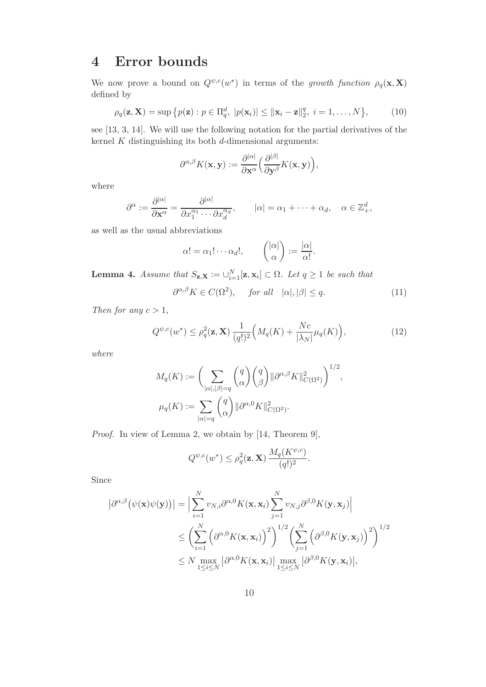## 4 Error bounds

We now prove a bound on  $Q^{\psi,c}(w^*)$  in terms of the growth function  $\rho_q(\mathbf{x}, \mathbf{X})$ defined by

$$
\rho_q(\mathbf{z}, \mathbf{X}) = \sup \left\{ p(\mathbf{z}) : p \in \Pi_q^d, \ |p(\mathbf{x}_i)| \le ||\mathbf{x}_i - \mathbf{z}||_2^q, \ i = 1, \dots, N \right\},\tag{10}
$$

see [13, 3, 14]. We will use the following notation for the partial derivatives of the kernel  $K$  distinguishing its both  $d$ -dimensional arguments:

$$
\partial^{\alpha,\beta}K(\mathbf{x},\mathbf{y}) := \frac{\partial^{|\alpha|}}{\partial \mathbf{x}^{\alpha}} \left(\frac{\partial^{|\beta|}}{\partial \mathbf{y}^{\beta}}K(\mathbf{x},\mathbf{y})\right),
$$

where

$$
\partial^{\alpha} := \frac{\partial^{|\alpha|}}{\partial \mathbf{x}^{\alpha}} = \frac{\partial^{|\alpha|}}{\partial x_1^{\alpha_1} \cdots \partial x_d^{\alpha_d}}, \qquad |\alpha| = \alpha_1 + \cdots + \alpha_d, \quad \alpha \in \mathbb{Z}_+^d,
$$

as well as the usual abbreviations

$$
\alpha! = \alpha_1! \cdots \alpha_d!, \qquad {\binom{|\alpha|}{\alpha}} := \frac{|\alpha|}{\alpha!}.
$$

**Lemma 4.** Assume that  $S_{\mathbf{z},\mathbf{X}} := \bigcup_{i=1}^{N} [\mathbf{z}, \mathbf{x}_i] \subset \Omega$ . Let  $q \ge 1$  be such that

$$
\partial^{\alpha,\beta} K \in C(\Omega^2), \quad \text{for all} \quad |\alpha|, |\beta| \le q. \tag{11}
$$

Then for any  $c > 1$ ,

$$
Q^{\psi,c}(w^*) \le \rho_q^2(\mathbf{z}, \mathbf{X}) \frac{1}{(q!)^2} \Big( M_q(K) + \frac{Nc}{|\lambda_N|} \mu_q(K) \Big), \tag{12}
$$

where

$$
M_q(K) := \left(\sum_{|\alpha|, |\beta|=q} {q \choose \alpha} {q \choose \beta} ||\partial^{\alpha,\beta} K||^2_{C(\Omega^2)}\right)^{1/2},
$$
  

$$
\mu_q(K) := \sum_{|\alpha|=q} {q \choose \alpha} ||\partial^{\alpha,0} K||^2_{C(\Omega^2)}.
$$

Proof. In view of Lemma 2, we obtain by [14, Theorem 9],

$$
Q^{\psi,c}(w^*) \leq \rho_q^2(\mathbf{z}, \mathbf{X}) \, \frac{M_q(K^{\psi,c})}{(q!)^2}.
$$

Since

$$
\left| \partial^{\alpha,\beta} (\psi(\mathbf{x})\psi(\mathbf{y})) \right| = \Big| \sum_{i=1}^{N} v_{N,i} \partial^{\alpha,0} K(\mathbf{x}, \mathbf{x}_i) \sum_{j=1}^{N} v_{N,j} \partial^{\beta,0} K(\mathbf{y}, \mathbf{x}_j) \Big|
$$
  

$$
\leq \Big( \sum_{i=1}^{N} \Big( \partial^{\alpha,0} K(\mathbf{x}, \mathbf{x}_i) \Big)^2 \Big)^{1/2} \Big( \sum_{j=1}^{N} \Big( \partial^{\beta,0} K(\mathbf{y}, \mathbf{x}_j) \Big)^2 \Big)^{1/2}
$$
  

$$
\leq N \max_{1 \leq i \leq N} \Big| \partial^{\alpha,0} K(\mathbf{x}, \mathbf{x}_i) \Big| \max_{1 \leq i \leq N} \Big| \partial^{\beta,0} K(\mathbf{y}, \mathbf{x}_i) \Big|,
$$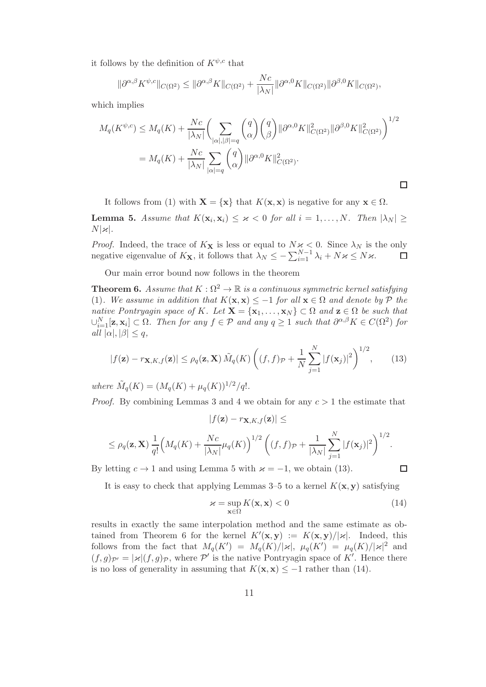it follows by the definition of  $K^{\psi,c}$  that

$$
\|\partial^{\alpha,\beta} K^{\psi,c}\|_{C(\Omega^2)} \le \|\partial^{\alpha,\beta} K\|_{C(\Omega^2)} + \frac{Nc}{|\lambda_N|} \|\partial^{\alpha,0} K\|_{C(\Omega^2)} \|\partial^{\beta,0} K\|_{C(\Omega^2)},
$$

which implies

$$
M_q(K^{\psi,c}) \le M_q(K) + \frac{Nc}{|\lambda_N|} \left( \sum_{|\alpha|, |\beta|=q} {q \choose \alpha} {q \choose \beta} ||\partial^{\alpha,0} K||^2_{C(\Omega^2)} ||\partial^{\beta,0} K||^2_{C(\Omega^2)} \right)^{1/2}
$$
  
=  $M_q(K) + \frac{Nc}{|\lambda_N|} \sum_{|\alpha|=q} {q \choose \alpha} ||\partial^{\alpha,0} K||^2_{C(\Omega^2)}.$ 

It follows from (1) with  $\mathbf{X} = \{x\}$  that  $K(\mathbf{x}, \mathbf{x})$  is negative for any  $\mathbf{x} \in \Omega$ .

**Lemma 5.** Assume that  $K(\mathbf{x}_i, \mathbf{x}_i) \leq \varkappa < 0$  for all  $i = 1, ..., N$ . Then  $|\lambda_N| \geq$  $N|\varkappa|$ .

*Proof.* Indeed, the trace of  $K_{\mathbf{X}}$  is less or equal to  $N \times < 0$ . Since  $\lambda_N$  is the only negative eigenvalue of  $K_{\mathbf{X}}$ , it follows that  $\lambda_N \leq -\sum_{i=1}^{N-1} \lambda_i + N \kappa \leq N \kappa$ .

Our main error bound now follows in the theorem

**Theorem 6.** Assume that  $K : \Omega^2 \to \mathbb{R}$  is a continuous symmetric kernel satisfying (1). We assume in addition that  $K(\mathbf{x}, \mathbf{x}) \leq -1$  for all  $\mathbf{x} \in \Omega$  and denote by  $P$  the native Pontryagin space of K. Let  $\mathbf{X} = \{x_1, \ldots, x_N\} \subset \Omega$  and  $\mathbf{z} \in \Omega$  be such that  $\cup_{i=1}^N [\mathbf{z}, \mathbf{x}_i] \subset \Omega$ . Then for any  $f \in \mathcal{P}$  and any  $q \ge 1$  such that  $\partial^{\alpha,\beta} K \in C(\Omega^2)$  for all  $|\alpha|, |\beta| \leq q$ ,

$$
|f(\mathbf{z}) - r_{\mathbf{X}, K, f}(\mathbf{z})| \le \rho_q(\mathbf{z}, \mathbf{X}) \tilde{M}_q(K) \left( (f, f)_{\mathcal{P}} + \frac{1}{N} \sum_{j=1}^N |f(\mathbf{x}_j)|^2 \right)^{1/2}, \qquad (13)
$$

where  $\tilde{M}_q(K) = (M_q(K) + \mu_q(K))^{1/2}/q!$ .

*Proof.* By combining Lemmas 3 and 4 we obtain for any  $c > 1$  the estimate that

$$
|f(\mathbf{z}) - r_{\mathbf{X},K,f}(\mathbf{z})| \le
$$
  

$$
\leq \rho_q(\mathbf{z}, \mathbf{X}) \frac{1}{q!} \Big( M_q(K) + \frac{Nc}{|\lambda_N|} \mu_q(K) \Big)^{1/2} \left( (f, f)_{\mathcal{P}} + \frac{1}{|\lambda_N|} \sum_{j=1}^N |f(\mathbf{x}_j)|^2 \right)^{1/2}.
$$

By letting  $c \to 1$  and using Lemma 5 with  $\varkappa = -1$ , we obtain (13).

It is easy to check that applying Lemmas 3–5 to a kernel  $K(\mathbf{x}, \mathbf{y})$  satisfying

$$
\varkappa = \sup_{\mathbf{x} \in \Omega} K(\mathbf{x}, \mathbf{x}) < 0 \tag{14}
$$

 $\Box$ 

results in exactly the same interpolation method and the same estimate as obtained from Theorem 6 for the kernel  $K'(\mathbf{x}, \mathbf{y}) := K(\mathbf{x}, \mathbf{y})/|\mathbf{x}|$ . Indeed, this follows from the fact that  $M_q(K') = M_q(K)/|\varkappa|$ ,  $\mu_q(K') = \mu_q(K)/|\varkappa|^2$  and  $(f,g)_{\mathcal{P}'} = |\varkappa|(f,g)_{\mathcal{P}}$ , where  $\mathcal{P}'$  is the native Pontryagin space of K'. Hence there is no loss of generality in assuming that  $K(\mathbf{x}, \mathbf{x}) \le -1$  rather than (14).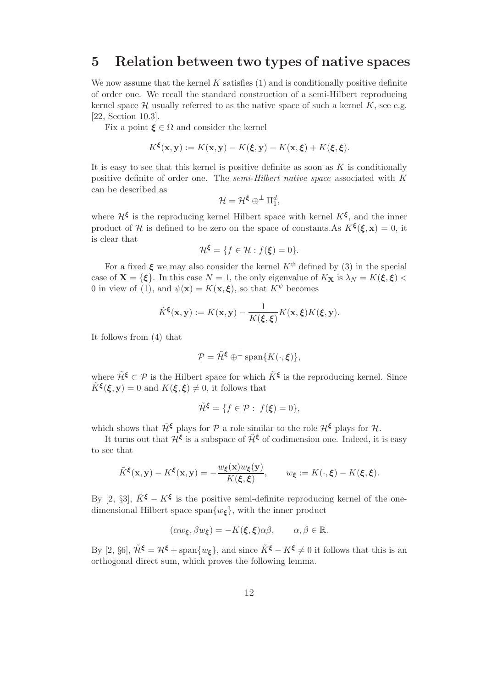#### 5 Relation between two types of native spaces

We now assume that the kernel  $K$  satisfies  $(1)$  and is conditionally positive definite of order one. We recall the standard construction of a semi-Hilbert reproducing kernel space  $\mathcal H$  usually referred to as the native space of such a kernel  $K$ , see e.g. [22, Section 10.3].

Fix a point  $\xi \in \Omega$  and consider the kernel

$$
K^{\xi}(\mathbf{x}, \mathbf{y}) := K(\mathbf{x}, \mathbf{y}) - K(\xi, \mathbf{y}) - K(\mathbf{x}, \xi) + K(\xi, \xi).
$$

It is easy to see that this kernel is positive definite as soon as  $K$  is conditionally positive definite of order one. The semi-Hilbert native space associated with K can be described as

$$
\mathcal{H}=\mathcal{H}^{\xi}\oplus^{\perp}\Pi_1^d,
$$

where  $\mathcal{H}^{\xi}$  is the reproducing kernel Hilbert space with kernel  $K^{\xi}$ , and the inner product of H is defined to be zero on the space of constants.As  $K^{\xi}(\xi, \mathbf{x}) = 0$ , it is clear that

$$
\mathcal{H}^{\xi} = \{ f \in \mathcal{H} : f(\xi) = 0 \}.
$$

For a fixed  $\xi$  we may also consider the kernel  $K^{\psi}$  defined by (3) in the special case of  $X = \{\xi\}$ . In this case  $N = 1$ , the only eigenvalue of  $K_X$  is  $\lambda_N = K(\xi, \xi)$ 0 in view of (1), and  $\psi(\mathbf{x}) = K(\mathbf{x}, \boldsymbol{\xi})$ , so that  $K^{\psi}$  becomes

$$
\tilde{K}^{\xi}(\mathbf{x}, \mathbf{y}) := K(\mathbf{x}, \mathbf{y}) - \frac{1}{K(\xi, \xi)} K(\mathbf{x}, \xi) K(\xi, \mathbf{y}).
$$

It follows from (4) that

$$
\mathcal{P} = \tilde{\mathcal{H}}^{\xi} \oplus^{\perp} \text{span}\{K(\cdot,\xi)\},
$$

where  $\tilde{\mathcal{H}}^{\xi} \subset \mathcal{P}$  is the Hilbert space for which  $\tilde{K}^{\xi}$  is the reproducing kernel. Since  $\tilde{K}^{\xi}(\xi, \mathbf{y}) = 0$  and  $K(\xi, \xi) \neq 0$ , it follows that

$$
\tilde{\mathcal{H}}^{\xi} = \{ f \in \mathcal{P} : f(\xi) = 0 \},
$$

which shows that  $\tilde{\mathcal{H}}^{\xi}$  plays for  $\mathcal{P}$  a role similar to the role  $\mathcal{H}^{\xi}$  plays for  $\mathcal{H}$ .

It turns out that  $\mathcal{H}^{\xi}$  is a subspace of  $\tilde{\mathcal{H}}^{\xi}$  of codimension one. Indeed, it is easy to see that

$$
\tilde{K}^{\xi}(\mathbf{x}, \mathbf{y}) - K^{\xi}(\mathbf{x}, \mathbf{y}) = -\frac{w_{\xi}(\mathbf{x})w_{\xi}(\mathbf{y})}{K(\xi, \xi)}, \qquad w_{\xi} := K(\cdot, \xi) - K(\xi, \xi).
$$

By [2, §3],  $\tilde{K}^{\xi} - K^{\xi}$  is the positive semi-definite reproducing kernel of the onedimensional Hilbert space span $\{w_{\xi}\}\$ , with the inner product

$$
(\alpha w_{\xi}, \beta w_{\xi}) = -K(\xi, \xi)\alpha\beta, \qquad \alpha, \beta \in \mathbb{R}.
$$

By [2, §6],  $\tilde{\mathcal{H}}^{\xi} = \mathcal{H}^{\xi} + \text{span}\{w_{\xi}\}\$ , and since  $\tilde{K}^{\xi} - K^{\xi} \neq 0$  it follows that this is an orthogonal direct sum, which proves the following lemma.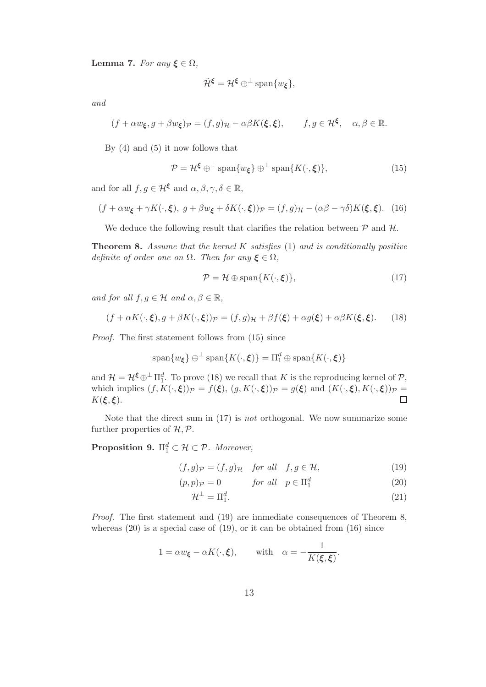Lemma 7. For any  $\xi \in \Omega$ ,

$$
\tilde{\mathcal{H}}^{\xi} = \mathcal{H}^{\xi} \oplus^{\perp} \text{span}\{w_{\xi}\},
$$

and

$$
(f + \alpha w_{\xi}, g + \beta w_{\xi})_{\mathcal{P}} = (f, g)_{\mathcal{H}} - \alpha \beta K(\xi, \xi), \qquad f, g \in \mathcal{H}^{\xi}, \quad \alpha, \beta \in \mathbb{R}.
$$

By (4) and (5) it now follows that

$$
\mathcal{P} = \mathcal{H}^{\xi} \oplus^{\perp} \text{span}\{w_{\xi}\} \oplus^{\perp} \text{span}\{K(\cdot,\xi)\},\tag{15}
$$

and for all  $f, g \in \mathcal{H}^{\xi}$  and  $\alpha, \beta, \gamma, \delta \in \mathbb{R}$ ,

$$
(f + \alpha w_{\xi} + \gamma K(\cdot, \xi), g + \beta w_{\xi} + \delta K(\cdot, \xi))_{\mathcal{P}} = (f, g)_{\mathcal{H}} - (\alpha \beta - \gamma \delta) K(\xi, \xi). \tag{16}
$$

We deduce the following result that clarifies the relation between  $\mathcal{P}$  and  $\mathcal{H}$ .

**Theorem 8.** Assume that the kernel K satisfies  $(1)$  and is conditionally positive definite of order one on  $\Omega$ . Then for any  $\xi \in \Omega$ ,

$$
\mathcal{P} = \mathcal{H} \oplus \text{span}\{K(\cdot,\xi)\},\tag{17}
$$

and for all  $f, g \in \mathcal{H}$  and  $\alpha, \beta \in \mathbb{R}$ ,

$$
(f + \alpha K(\cdot, \xi), g + \beta K(\cdot, \xi))\mathfrak{p} = (f, g)_{\mathcal{H}} + \beta f(\xi) + \alpha g(\xi) + \alpha \beta K(\xi, \xi). \tag{18}
$$

Proof. The first statement follows from (15) since

$$
\mathrm{span}\{w_{\xi}\}\oplus^{\perp}\mathrm{span}\{K(\cdot,\xi)\}=\Pi_1^d\oplus\mathrm{span}\{K(\cdot,\xi)\}
$$

and  $\mathcal{H} = \mathcal{H}^{\xi} \oplus \Pi_1^d$ . To prove (18) we recall that K is the reproducing kernel of P, which implies  $(f, K(\cdot, \xi))_{\mathcal{P}} = f(\xi), (g, K(\cdot, \xi))_{\mathcal{P}} = g(\xi)$  and  $(K(\cdot, \xi), K(\cdot, \xi))_{\mathcal{P}} = K(\xi, \xi)$ .  $K(\xi, \xi)$ .

Note that the direct sum in (17) is not orthogonal. We now summarize some further properties of  $H, \mathcal{P}$ .

**Proposition 9.**  $\Pi_1^d \subset \mathcal{H} \subset \mathcal{P}$ . Moreover,

$$
(f,g)\mathfrak{p} = (f,g)\mathfrak{p} \quad \text{for all} \quad f,g \in \mathcal{H},\tag{19}
$$

$$
(p,p)\mathbf{p} = 0 \qquad \qquad \text{for all} \quad p \in \Pi_1^d \tag{20}
$$

$$
\mathcal{H}^{\perp} = \Pi_1^d. \tag{21}
$$

Proof. The first statement and (19) are immediate consequences of Theorem 8, whereas  $(20)$  is a special case of  $(19)$ , or it can be obtained from  $(16)$  since

$$
1 = \alpha w_{\xi} - \alpha K(\cdot, \xi), \quad \text{with} \quad \alpha = -\frac{1}{K(\xi, \xi)}.
$$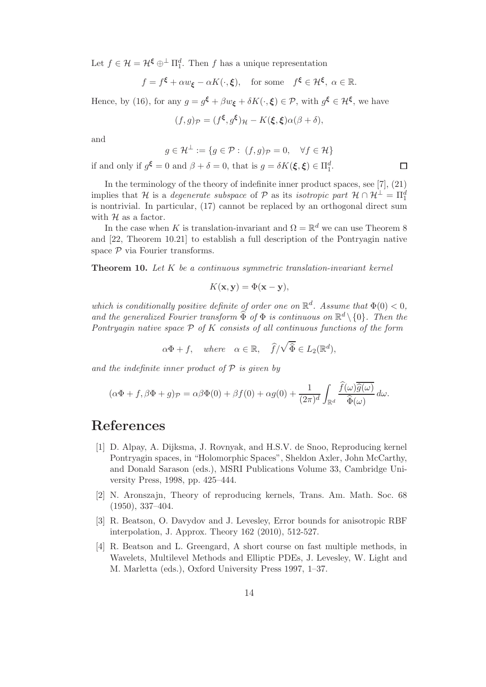Let  $f \in \mathcal{H} = \mathcal{H}^{\xi} \oplus^{\perp} \Pi_1^d$ . Then f has a unique representation

$$
f = f^{\xi} + \alpha w_{\xi} - \alpha K(\cdot, \xi)
$$
, for some  $f^{\xi} \in \mathcal{H}^{\xi}$ ,  $\alpha \in \mathbb{R}$ .

Hence, by (16), for any  $g = g^{\xi} + \beta w_{\xi} + \delta K(\cdot, \xi) \in \mathcal{P}$ , with  $g^{\xi} \in \mathcal{H}^{\xi}$ , we have

$$
(f,g)_{\mathcal{P}} = (f^{\xi}, g^{\xi})_{\mathcal{H}} - K(\xi, \xi) \alpha (\beta + \delta),
$$

and

$$
g \in \mathcal{H}^{\perp} := \{ g \in \mathcal{P} : (f, g)\mathcal{P} = 0, \quad \forall f \in \mathcal{H} \}
$$

 $\Box$ 

if and only if  $g^{\xi} = 0$  and  $\beta + \delta = 0$ , that is  $g = \delta K(\xi, \xi) \in \Pi_1^d$ .

In the terminology of the theory of indefinite inner product spaces, see [7], (21) implies that H is a *degenerate subspace* of P as its *isotropic part*  $\mathcal{H} \cap \mathcal{H}^{\perp} = \Pi_1^d$ is nontrivial. In particular, (17) cannot be replaced by an orthogonal direct sum with  $H$  as a factor.

In the case when K is translation-invariant and  $\Omega = \mathbb{R}^d$  we can use Theorem 8 and [22, Theorem 10.21] to establish a full description of the Pontryagin native space  $P$  via Fourier transforms.

**Theorem 10.** Let  $K$  be a continuous symmetric translation-invariant kernel

$$
K(\mathbf{x}, \mathbf{y}) = \Phi(\mathbf{x} - \mathbf{y}),
$$

which is conditionally positive definite of order one on  $\mathbb{R}^d$ . Assume that  $\Phi(0) < 0$ , and the generalized Fourier transform  $\widehat{\Phi}$  of  $\Phi$  is continuous on  $\mathbb{R}^d \setminus \{0\}$ . Then the Pontryagin native space  $P$  of K consists of all continuous functions of the form

$$
\alpha \Phi + f, \quad where \quad \alpha \in \mathbb{R}, \quad \widehat{f}/\sqrt{\widehat{\Phi}} \in L_2(\mathbb{R}^d),
$$

and the indefinite inner product of  $P$  is given by

$$
(\alpha \Phi + f, \beta \Phi + g)_{\mathcal{P}} = \alpha \beta \Phi(0) + \beta f(0) + \alpha g(0) + \frac{1}{(2\pi)^d} \int_{\mathbb{R}^d} \frac{\overline{f(\omega)}\widehat{g}(\omega)}{\widehat{\Phi}(\omega)} d\omega.
$$

### References

- [1] D. Alpay, A. Dijksma, J. Rovnyak, and H.S.V. de Snoo, Reproducing kernel Pontryagin spaces, in "Holomorphic Spaces", Sheldon Axler, John McCarthy, and Donald Sarason (eds.), MSRI Publications Volume 33, Cambridge University Press, 1998, pp. 425–444.
- [2] N. Aronszajn, Theory of reproducing kernels, Trans. Am. Math. Soc. 68 (1950), 337–404.
- [3] R. Beatson, O. Davydov and J. Levesley, Error bounds for anisotropic RBF interpolation, J. Approx. Theory 162 (2010), 512-527.
- [4] R. Beatson and L. Greengard, A short course on fast multiple methods, in Wavelets, Multilevel Methods and Elliptic PDEs, J. Levesley, W. Light and M. Marletta (eds.), Oxford University Press 1997, 1–37.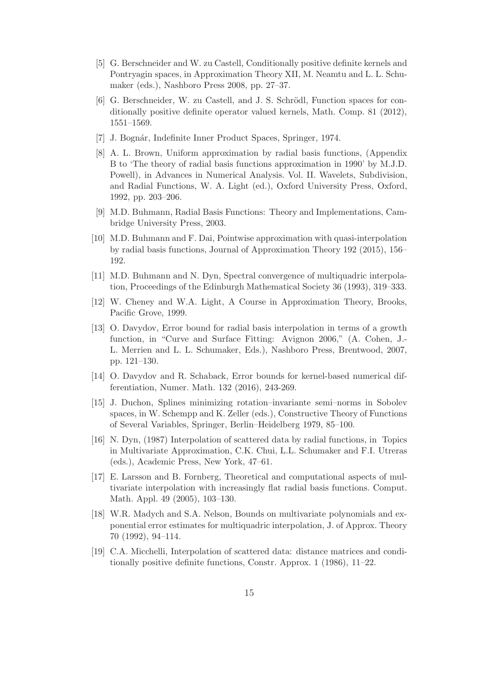- [5] G. Berschneider and W. zu Castell, Conditionally positive definite kernels and Pontryagin spaces, in Approximation Theory XII, M. Neamtu and L. L. Schumaker (eds.), Nashboro Press 2008, pp. 27–37.
- [6] G. Berschneider, W. zu Castell, and J. S. Schrödl, Function spaces for conditionally positive definite operator valued kernels, Math. Comp. 81 (2012), 1551–1569.
- [7] J. Bognár, Indefinite Inner Product Spaces, Springer, 1974.
- [8] A. L. Brown, Uniform approximation by radial basis functions, (Appendix B to 'The theory of radial basis functions approximation in 1990' by M.J.D. Powell), in Advances in Numerical Analysis. Vol. II. Wavelets, Subdivision, and Radial Functions, W. A. Light (ed.), Oxford University Press, Oxford, 1992, pp. 203–206.
- [9] M.D. Buhmann, Radial Basis Functions: Theory and Implementations, Cambridge University Press, 2003.
- [10] M.D. Buhmann and F. Dai, Pointwise approximation with quasi-interpolation by radial basis functions, Journal of Approximation Theory 192 (2015), 156– 192.
- [11] M.D. Buhmann and N. Dyn, Spectral convergence of multiquadric interpolation, Proceedings of the Edinburgh Mathematical Society 36 (1993), 319–333.
- [12] W. Cheney and W.A. Light, A Course in Approximation Theory, Brooks, Pacific Grove, 1999.
- [13] O. Davydov, Error bound for radial basis interpolation in terms of a growth function, in "Curve and Surface Fitting: Avignon 2006," (A. Cohen, J.- L. Merrien and L. L. Schumaker, Eds.), Nashboro Press, Brentwood, 2007, pp. 121–130.
- [14] O. Davydov and R. Schaback, Error bounds for kernel-based numerical differentiation, Numer. Math. 132 (2016), 243-269.
- [15] J. Duchon, Splines minimizing rotation–invariante semi–norms in Sobolev spaces, in W. Schempp and K. Zeller (eds.), Constructive Theory of Functions of Several Variables, Springer, Berlin–Heidelberg 1979, 85–100.
- [16] N. Dyn, (1987) Interpolation of scattered data by radial functions, in Topics in Multivariate Approximation, C.K. Chui, L.L. Schumaker and F.I. Utreras (eds.), Academic Press, New York, 47–61.
- [17] E. Larsson and B. Fornberg, Theoretical and computational aspects of multivariate interpolation with increasingly flat radial basis functions. Comput. Math. Appl. 49 (2005), 103–130.
- [18] W.R. Madych and S.A. Nelson, Bounds on multivariate polynomials and exponential error estimates for multiquadric interpolation, J. of Approx. Theory 70 (1992), 94–114.
- [19] C.A. Micchelli, Interpolation of scattered data: distance matrices and conditionally positive definite functions, Constr. Approx. 1 (1986), 11–22.